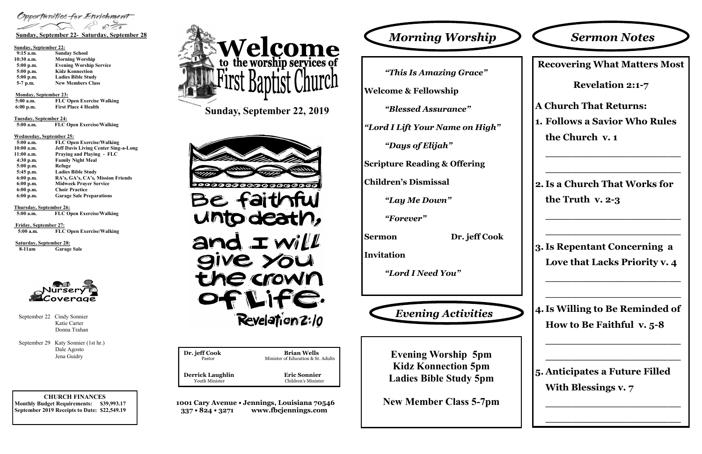**CHURCH FINANCES Monthly Budget Requirements: \$39,993.17 September 2019 Receipts to Date: \$22,549.19** **Dr. jeff Cook Brian Wells**<br>Pastor Minister of Education & Sr Minister of Education & Sr. Adults  **Derrick Laughlin Eric Sonnier** Youth Minister Children's Minister

**1001 Cary Avenue • Jennings, Louisiana 70546 337 • 824 • 3271 www.fbcjennings.com**

**Sunday, September 22, 2019**



Opportunities for Enrichment

### **Sunday, September 22:**

| $9:15$ a.m.  | <b>Sunday School</b>           |
|--------------|--------------------------------|
| $10:30$ a.m. | <b>Morning Worship</b>         |
| $5:00$ p.m.  | <b>Evening Worship Service</b> |
| $5:00$ p.m.  | <b>Kidz Konnection</b>         |
| 5:00 p.m.    | <b>Ladies Bible Study</b>      |
| 5-7 p.m.     | <b>New Members Class</b>       |

**Monday, September 23:** 

| $5:00$ a.m. | <b>FLC Open Exercise Walking</b> |
|-------------|----------------------------------|
| $6:00$ p.m. | <b>First Place 4 Health</b>      |

**Tuesday, September 24:**

| $5:00$ a.m. | <b>FLC Open Exercise/Walking</b> |
|-------------|----------------------------------|
|             |                                  |

### **Wednesday, September 25:**

| $5:00$ a.m. | <b>FLC Open Exercise/Walking</b>            |
|-------------|---------------------------------------------|
| 10:00 a.m.  | <b>Jeff Davis Living Center Sing-a-Long</b> |
| 11:00 a.m.  | Praying and Playing - FLC                   |
| $4:30$ p.m. | <b>Family Night Meal</b>                    |
| $5:00$ p.m. | Refuge                                      |
| 5:45 p.m.   | <b>Ladies Bible Study</b>                   |
| $6:00$ p.m. | RA's, GA's, CA's, Mission Friends           |
| $6:00$ p.m. | <b>Midweek Praver Service</b>               |
| $6:00$ p.m. | <b>Choir Practice</b>                       |
| $6:00$ p.m. | <b>Garage Sale Preparations</b>             |
|             |                                             |

**Thursday, September 26: 5:00 a.m. FLC Open Exercise/Walking**

**Friday, September 27: 5:00 a.m. FLC Open Exercise/Walking**

**Saturday, September 28: 8-11am Garage Sale**



*"This Is Amazing Grace"*

**Welcome & Fellowship**

*"Blessed Assurance"*

*"Lord I Lift Your Name on High"*

*"Days of Elijah"*

**Scripture Reading & Offering**

**Children's Dismissal**

*"Lay Me Down"*

*"Forever"*

**Sermon Dr. jeff Cook**

**Invitation**

*"Lord I Need You"*



# *Sermon Notes*

**Evening Worship 5pm Kidz Konnection 5pm Ladies Bible Study 5pm**

**New Member Class 5-7pm**



 Katie Carter Donna Trahan

September 29 Katy Sonnier (1st hr.) Dale Agosto Jena Guidry